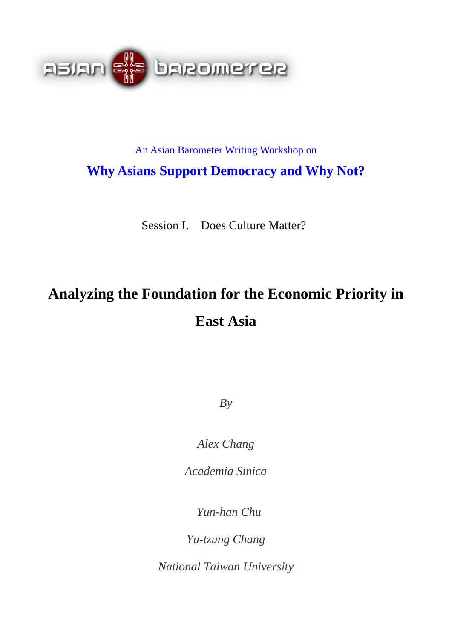

## An Asian Barometer Writing Workshop on **Why Asians Support Democracy and Why Not?**

Session I. Does Culture Matter?

# **Analyzing the Foundation for the Economic Priority in East Asia**

*By* 

*Alex Chang* 

*Academia Sinica* 

 *Yun-han Chu* 

*Yu-tzung Chang* 

*National Taiwan University*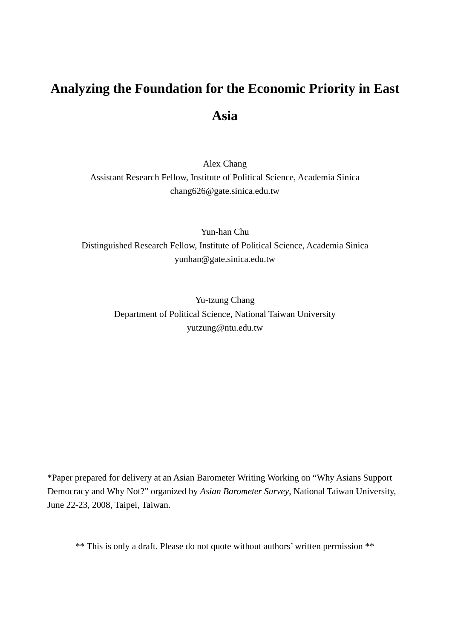## **Analyzing the Foundation for the Economic Priority in East Asia**

Alex Chang Assistant Research Fellow, Institute of Political Science, Academia Sinica chang626@gate.sinica.edu.tw

Yun-han Chu Distinguished Research Fellow, Institute of Political Science, Academia Sinica yunhan@gate.sinica.edu.tw

> Yu-tzung Chang Department of Political Science, National Taiwan University yutzung@ntu.edu.tw

\*Paper prepared for delivery at an Asian Barometer Writing Working on "Why Asians Support Democracy and Why Not?" organized by *Asian Barometer Survey*, National Taiwan University, June 22-23, 2008, Taipei, Taiwan.

\*\* This is only a draft. Please do not quote without authors' written permission \*\*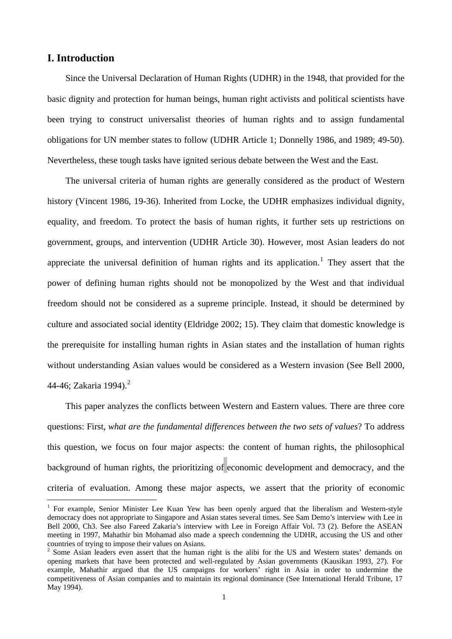## **I. Introduction**

 $\overline{a}$ 

Since the Universal Declaration of Human Rights (UDHR) in the 1948, that provided for the basic dignity and protection for human beings, human right activists and political scientists have been trying to construct universalist theories of human rights and to assign fundamental obligations for UN member states to follow (UDHR Article 1; Donnelly 1986, and 1989; 49-50). Nevertheless, these tough tasks have ignited serious debate between the West and the East.

The universal criteria of human rights are generally considered as the product of Western history (Vincent 1986, 19-36). Inherited from Locke, the UDHR emphasizes individual dignity, equality, and freedom. To protect the basis of human rights, it further sets up restrictions on government, groups, and intervention (UDHR Article 30). However, most Asian leaders do not appreciate the universal definition of human rights and its application.<sup>[1](#page-2-0)</sup> They assert that the power of defining human rights should not be monopolized by the West and that individual freedom should not be considered as a supreme principle. Instead, it should be determined by culture and associated social identity (Eldridge 2002; 15). They claim that domestic knowledge is the prerequisite for installing human rights in Asian states and the installation of human rights without understanding Asian values would be considered as a Western invasion (See Bell 2000, 44-46; Zakaria 1994).<sup>[2](#page-2-1)</sup>

This paper analyzes the conflicts between Western and Eastern values. There are three core questions: First, *what are the fundamental differences between the two sets of values*? To address this question, we focus on four major aspects: the content of human rights, the philosophical background of human rights, the prioritizing of economic development and democracy, and the criteria of evaluation. Among these major aspects, we assert that the priority of economic

<sup>&</sup>lt;sup>1</sup> For example, Senior Minister Lee Kuan Yew has been openly argued that the liberalism and Western-style democracy does not appropriate to Singapore and Asian states several times. See Sam Demo's interview with Lee in Bell 2000, Ch3. See also Fareed Zakaria's interview with Lee in Foreign Affair Vol. 73 (2). Before the ASEAN meeting in 1997, Mahathir bin Mohamad also made a speech condemning the UDHR, accusing the US and other countries of trying to impose their values on Asians.

<span id="page-2-1"></span><span id="page-2-0"></span><sup>&</sup>lt;sup>2</sup> Some Asian leaders even assert that the human right is the alibi for the US and Western states' demands on opening markets that have been protected and well-regulated by Asian governments (Kausikan 1993, 27). For example, Mahathir argued that the US campaigns for workers' right in Asia in order to undermine the competitiveness of Asian companies and to maintain its regional dominance (See International Herald Tribune, 17 May 1994).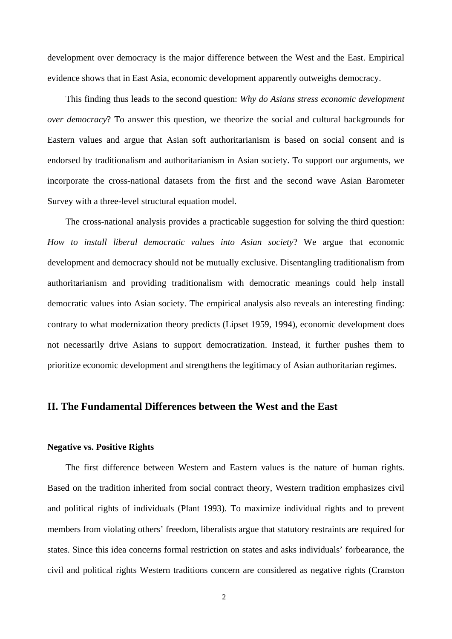development over democracy is the major difference between the West and the East. Empirical evidence shows that in East Asia, economic development apparently outweighs democracy.

This finding thus leads to the second question: *Why do Asians stress economic development over democracy*? To answer this question, we theorize the social and cultural backgrounds for Eastern values and argue that Asian soft authoritarianism is based on social consent and is endorsed by traditionalism and authoritarianism in Asian society. To support our arguments, we incorporate the cross-national datasets from the first and the second wave Asian Barometer Survey with a three-level structural equation model.

The cross-national analysis provides a practicable suggestion for solving the third question: *How to install liberal democratic values into Asian society*? We argue that economic development and democracy should not be mutually exclusive. Disentangling traditionalism from authoritarianism and providing traditionalism with democratic meanings could help install democratic values into Asian society. The empirical analysis also reveals an interesting finding: contrary to what modernization theory predicts (Lipset 1959, 1994), economic development does not necessarily drive Asians to support democratization. Instead, it further pushes them to prioritize economic development and strengthens the legitimacy of Asian authoritarian regimes.

## **II. The Fundamental Differences between the West and the East**

#### **Negative vs. Positive Rights**

The first difference between Western and Eastern values is the nature of human rights. Based on the tradition inherited from social contract theory, Western tradition emphasizes civil and political rights of individuals (Plant 1993). To maximize individual rights and to prevent members from violating others' freedom, liberalists argue that statutory restraints are required for states. Since this idea concerns formal restriction on states and asks individuals' forbearance, the civil and political rights Western traditions concern are considered as negative rights (Cranston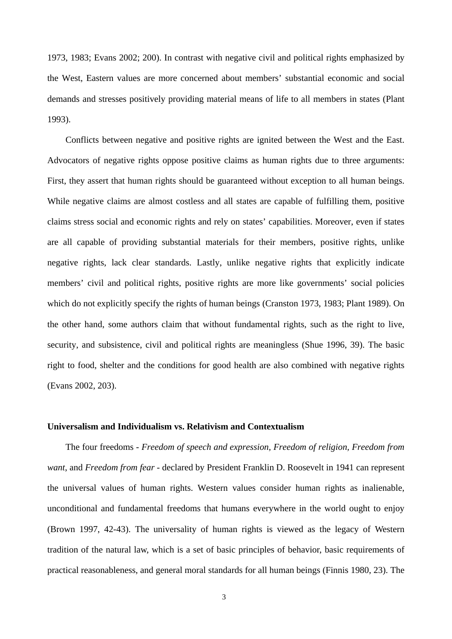1973, 1983; Evans 2002; 200). In contrast with negative civil and political rights emphasized by the West, Eastern values are more concerned about members' substantial economic and social demands and stresses positively providing material means of life to all members in states (Plant 1993).

Conflicts between negative and positive rights are ignited between the West and the East. Advocators of negative rights oppose positive claims as human rights due to three arguments: First, they assert that human rights should be guaranteed without exception to all human beings. While negative claims are almost costless and all states are capable of fulfilling them, positive claims stress social and economic rights and rely on states' capabilities. Moreover, even if states are all capable of providing substantial materials for their members, positive rights, unlike negative rights, lack clear standards. Lastly, unlike negative rights that explicitly indicate members' civil and political rights, positive rights are more like governments' social policies which do not explicitly specify the rights of human beings (Cranston 1973, 1983; Plant 1989). On the other hand, some authors claim that without fundamental rights, such as the right to live, security, and subsistence, civil and political rights are meaningless (Shue 1996, 39). The basic right to food, shelter and the conditions for good health are also combined with negative rights (Evans 2002, 203).

#### **Universalism and Individualism vs. Relativism and Contextualism**

The four freedoms - *Freedom of speech and expression, Freedom of religion, Freedom from want*, and *Freedom from fear* - declared by President Franklin D. Roosevelt in 1941 can represent the universal values of human rights. Western values consider human rights as inalienable, unconditional and fundamental freedoms that humans everywhere in the world ought to enjoy (Brown 1997, 42-43). The universality of human rights is viewed as the legacy of Western tradition of the natural law, which is a set of basic principles of behavior, basic requirements of practical reasonableness, and general moral standards for all human beings (Finnis 1980, 23). The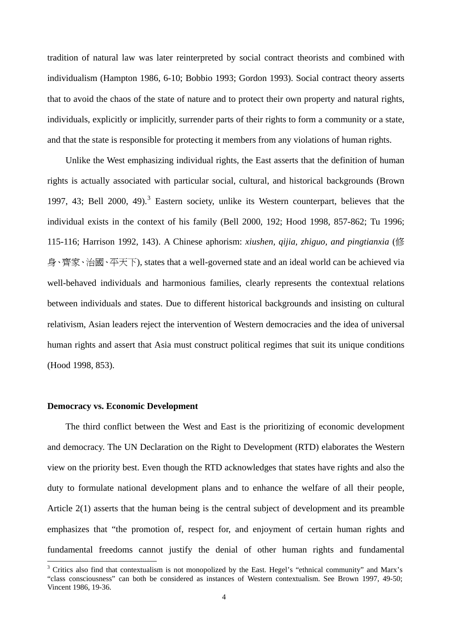<span id="page-5-0"></span>tradition of natural law was later reinterpreted by social contract theorists and combined with individualism (Hampton 1986, 6-10; Bobbio 1993; Gordon 1993). Social contract theory asserts that to avoid the chaos of the state of nature and to protect their own property and natural rights, individuals, explicitly or implicitly, surrender parts of their rights to form a community or a state, and that the state is responsible for protecting it members from any violations of human rights.

Unlike the West emphasizing individual rights, the East asserts that the definition of human rights is actually associated with particular social, cultural, and historical backgrounds (Brown 1997, 4[3](#page-5-0); Bell 2000, 49<sup>3</sup> Eastern society, unlike its Western counterpart, believes that the individual exists in the context of his family (Bell 2000, 192; Hood 1998, 857-862; Tu 1996; 115-116; Harrison 1992, 143). A Chinese aphorism: *xiushen, qijia, zhiguo, and pingtianxia* (修 身、齊家、治國、平天下), states that a well-governed state and an ideal world can be achieved via well-behaved individuals and harmonious families, clearly represents the contextual relations between individuals and states. Due to different historical backgrounds and insisting on cultural relativism, Asian leaders reject the intervention of Western democracies and the idea of universal human rights and assert that Asia must construct political regimes that suit its unique conditions (Hood 1998, 853).

#### **Democracy vs. Economic Development**

 $\overline{a}$ 

The third conflict between the West and East is the prioritizing of economic development and democracy. The UN Declaration on the Right to Development (RTD) elaborates the Western view on the priority best. Even though the RTD acknowledges that states have rights and also the duty to formulate national development plans and to enhance the welfare of all their people, Article 2(1) asserts that the human being is the central subject of development and its preamble emphasizes that "the promotion of, respect for, and enjoyment of certain human rights and fundamental freedoms cannot justify the denial of other human rights and fundamental

<sup>&</sup>lt;sup>3</sup> Critics also find that contextualism is not monopolized by the East. Hegel's "ethnical community" and Marx's "class consciousness" can both be considered as instances of Western contextualism. See Brown 1997, 49-50; Vincent 1986, 19-36.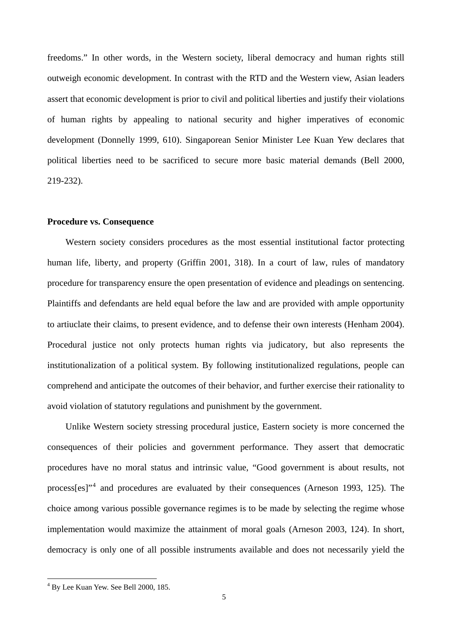<span id="page-6-0"></span>freedoms." In other words, in the Western society, liberal democracy and human rights still outweigh economic development. In contrast with the RTD and the Western view, Asian leaders assert that economic development is prior to civil and political liberties and justify their violations of human rights by appealing to national security and higher imperatives of economic development (Donnelly 1999, 610). Singaporean Senior Minister Lee Kuan Yew declares that political liberties need to be sacrificed to secure more basic material demands (Bell 2000, 219-232).

#### **Procedure vs. Consequence**

Western society considers procedures as the most essential institutional factor protecting human life, liberty, and property (Griffin 2001, 318). In a court of law, rules of mandatory procedure for transparency ensure the open presentation of evidence and pleadings on sentencing. Plaintiffs and defendants are held equal before the law and are provided with ample opportunity to artiuclate their claims, to present evidence, and to defense their own interests (Henham 2004). Procedural justice not only protects human rights via judicatory, but also represents the institutionalization of a political system. By following institutionalized regulations, people can comprehend and anticipate the outcomes of their behavior, and further exercise their rationality to avoid violation of statutory regulations and punishment by the government.

Unlike Western society stressing procedural justice, Eastern society is more concerned the consequences of their policies and government performance. They assert that democratic procedures have no moral status and intrinsic value, "Good government is about results, not process[es]"<sup>[4](#page-6-0)</sup> and procedures are evaluated by their consequences (Arneson 1993, 125). The choice among various possible governance regimes is to be made by selecting the regime whose implementation would maximize the attainment of moral goals (Arneson 2003, 124). In short, democracy is only one of all possible instruments available and does not necessarily yield the

 $\overline{a}$ 

<sup>4</sup> By Lee Kuan Yew. See Bell 2000, 185.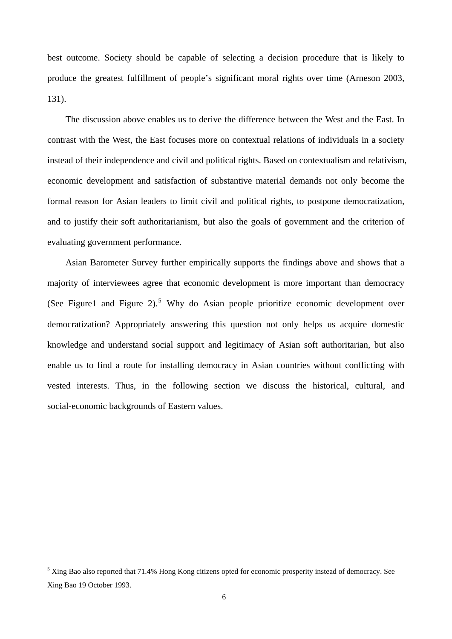<span id="page-7-0"></span>best outcome. Society should be capable of selecting a decision procedure that is likely to produce the greatest fulfillment of people's significant moral rights over time (Arneson 2003, 131).

The discussion above enables us to derive the difference between the West and the East. In contrast with the West, the East focuses more on contextual relations of individuals in a society instead of their independence and civil and political rights. Based on contextualism and relativism, economic development and satisfaction of substantive material demands not only become the formal reason for Asian leaders to limit civil and political rights, to postpone democratization, and to justify their soft authoritarianism, but also the goals of government and the criterion of evaluating government performance.

Asian Barometer Survey further empirically supports the findings above and shows that a majority of interviewees agree that economic development is more important than democracy (See Figure1 and Figure 2).<sup>[5](#page-7-0)</sup> Why do Asian people prioritize economic development over democratization? Appropriately answering this question not only helps us acquire domestic knowledge and understand social support and legitimacy of Asian soft authoritarian, but also enable us to find a route for installing democracy in Asian countries without conflicting with vested interests. Thus, in the following section we discuss the historical, cultural, and social-economic backgrounds of Eastern values.

 $\overline{a}$ 

<sup>&</sup>lt;sup>5</sup> Xing Bao also reported that 71.4% Hong Kong citizens opted for economic prosperity instead of democracy. See Xing Bao 19 October 1993.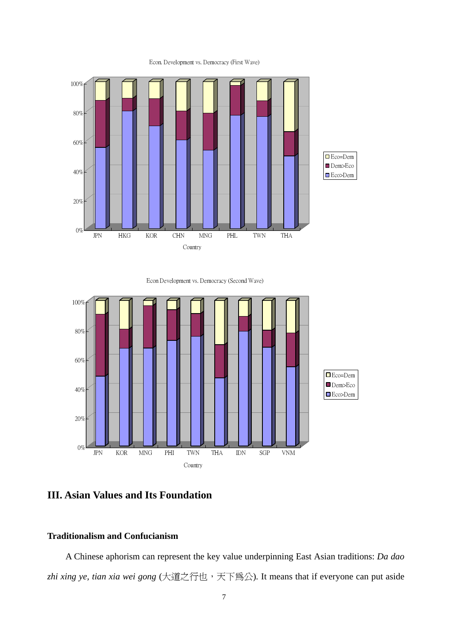

Econ. Development vs. Democracy (First Wave)

Econ Development vs. Democracy (Second Wave)



**III. Asian Values and Its Foundation** 

## **Traditionalism and Confucianism**

A Chinese aphorism can represent the key value underpinning East Asian traditions: *Da dao zhi xing ye, tian xia wei gong* (大道之行也,天下為公)*.* It means that if everyone can put aside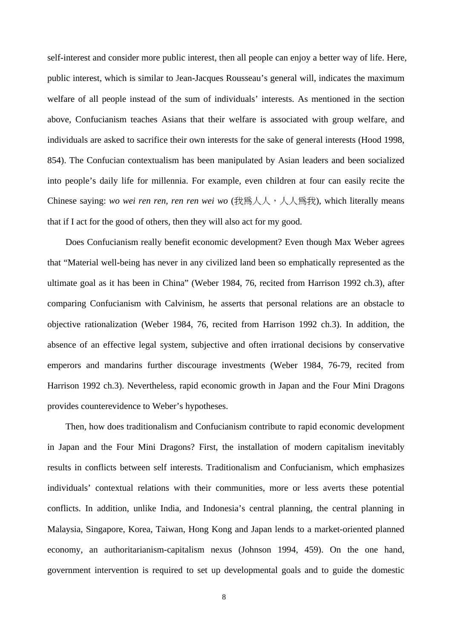self-interest and consider more public interest, then all people can enjoy a better way of life. Here, public interest, which is similar to Jean-Jacques Rousseau's general will, indicates the maximum welfare of all people instead of the sum of individuals' interests. As mentioned in the section above, Confucianism teaches Asians that their welfare is associated with group welfare, and individuals are asked to sacrifice their own interests for the sake of general interests (Hood 1998, 854). The Confucian contextualism has been manipulated by Asian leaders and been socialized into people's daily life for millennia. For example, even children at four can easily recite the Chinese saying: *wo wei ren ren, ren ren wei wo* (我為人人,人爲我), which literally means that if I act for the good of others, then they will also act for my good.

Does Confucianism really benefit economic development? Even though Max Weber agrees that "Material well-being has never in any civilized land been so emphatically represented as the ultimate goal as it has been in China" (Weber 1984, 76, recited from Harrison 1992 ch.3), after comparing Confucianism with Calvinism, he asserts that personal relations are an obstacle to objective rationalization (Weber 1984, 76, recited from Harrison 1992 ch.3). In addition, the absence of an effective legal system, subjective and often irrational decisions by conservative emperors and mandarins further discourage investments (Weber 1984, 76-79, recited from Harrison 1992 ch.3). Nevertheless, rapid economic growth in Japan and the Four Mini Dragons provides counterevidence to Weber's hypotheses.

Then, how does traditionalism and Confucianism contribute to rapid economic development in Japan and the Four Mini Dragons? First, the installation of modern capitalism inevitably results in conflicts between self interests. Traditionalism and Confucianism, which emphasizes individuals' contextual relations with their communities, more or less averts these potential conflicts. In addition, unlike India, and Indonesia's central planning, the central planning in Malaysia, Singapore, Korea, Taiwan, Hong Kong and Japan lends to a market-oriented planned economy, an authoritarianism-capitalism nexus (Johnson 1994, 459). On the one hand, government intervention is required to set up developmental goals and to guide the domestic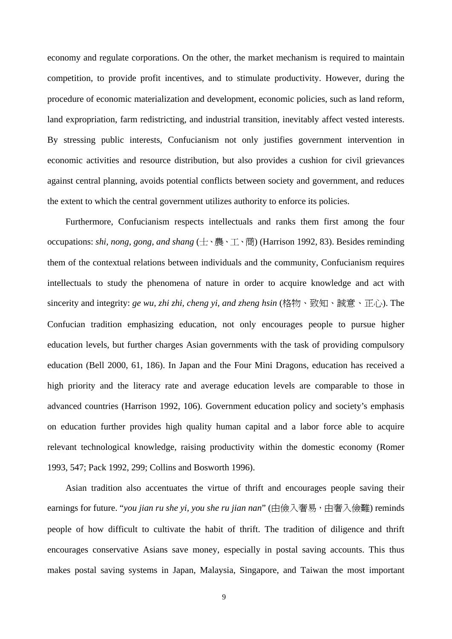economy and regulate corporations. On the other, the market mechanism is required to maintain competition, to provide profit incentives, and to stimulate productivity. However, during the procedure of economic materialization and development, economic policies, such as land reform, land expropriation, farm redistricting, and industrial transition, inevitably affect vested interests. By stressing public interests, Confucianism not only justifies government intervention in economic activities and resource distribution, but also provides a cushion for civil grievances against central planning, avoids potential conflicts between society and government, and reduces the extent to which the central government utilizes authority to enforce its policies.

Furthermore, Confucianism respects intellectuals and ranks them first among the four occupations: *shi, nong, gong, and shang* (士、農、工、商) (Harrison 1992, 83). Besides reminding them of the contextual relations between individuals and the community, Confucianism requires intellectuals to study the phenomena of nature in order to acquire knowledge and act with sincerity and integrity: *ge wu, zhi zhi, cheng yi, and zheng hsin* (格物、致知、誠意、正心). The Confucian tradition emphasizing education, not only encourages people to pursue higher education levels, but further charges Asian governments with the task of providing compulsory education (Bell 2000, 61, 186). In Japan and the Four Mini Dragons, education has received a high priority and the literacy rate and average education levels are comparable to those in advanced countries (Harrison 1992, 106). Government education policy and society's emphasis on education further provides high quality human capital and a labor force able to acquire relevant technological knowledge, raising productivity within the domestic economy (Romer 1993, 547; Pack 1992, 299; Collins and Bosworth 1996).

Asian tradition also accentuates the virtue of thrift and encourages people saving their earnings for future. "*you jian ru she yi, you she ru jian nan*" (由儉入奢易, 由奢入儉難) reminds people of how difficult to cultivate the habit of thrift. The tradition of diligence and thrift encourages conservative Asians save money, especially in postal saving accounts. This thus makes postal saving systems in Japan, Malaysia, Singapore, and Taiwan the most important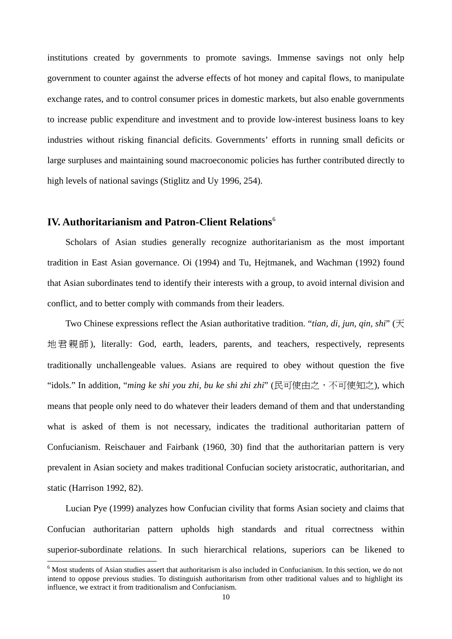<span id="page-11-0"></span>institutions created by governments to promote savings. Immense savings not only help government to counter against the adverse effects of hot money and capital flows, to manipulate exchange rates, and to control consumer prices in domestic markets, but also enable governments to increase public expenditure and investment and to provide low-interest business loans to key industries without risking financial deficits. Governments' efforts in running small deficits or large surpluses and maintaining sound macroeconomic policies has further contributed directly to high levels of national savings (Stiglitz and Uy 1996, 254).

## **IV. Authoritarianism and Patron-Client Relations**[6](#page-11-0)

Scholars of Asian studies generally recognize authoritarianism as the most important tradition in East Asian governance. Oi (1994) and Tu, Hejtmanek, and Wachman (1992) found that Asian subordinates tend to identify their interests with a group, to avoid internal division and conflict, and to better comply with commands from their leaders.

Two Chinese expressions reflect the Asian authoritative tradition. "*tian, di, jun, qin, shi*" (天 地君親師 ), literally: God, earth, leaders, parents, and teachers, respectively, represents traditionally unchallengeable values. Asians are required to obey without question the five "idols." In addition, "*ming ke shi you zhi, bu ke shi zhi zhi*" (民可使由之,不可使知之), which means that people only need to do whatever their leaders demand of them and that understanding what is asked of them is not necessary, indicates the traditional authoritarian pattern of Confucianism. Reischauer and Fairbank (1960, 30) find that the authoritarian pattern is very prevalent in Asian society and makes traditional Confucian society aristocratic, authoritarian, and static (Harrison 1992, 82).

Lucian Pye (1999) analyzes how Confucian civility that forms Asian society and claims that Confucian authoritarian pattern upholds high standards and ritual correctness within superior-subordinate relations. In such hierarchical relations, superiors can be likened to

 $\overline{a}$ 

<sup>&</sup>lt;sup>6</sup> Most students of Asian studies assert that authoritarism is also included in Confucianism. In this section, we do not intend to oppose previous studies. To distinguish authoritarism from other traditional values and to highlight its influence, we extract it from traditionalism and Confucianism.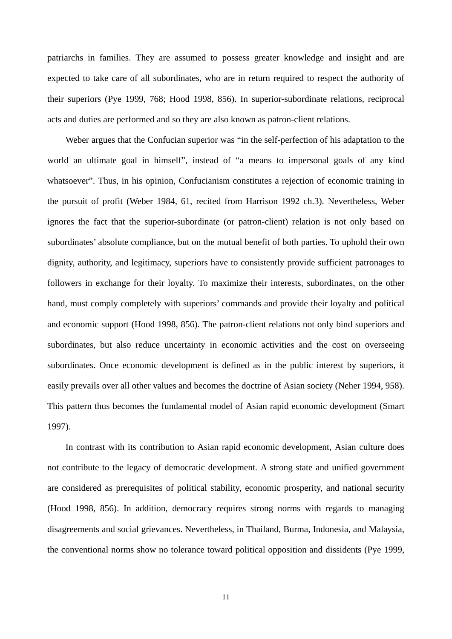patriarchs in families. They are assumed to possess greater knowledge and insight and are expected to take care of all subordinates, who are in return required to respect the authority of their superiors (Pye 1999, 768; Hood 1998, 856). In superior-subordinate relations, reciprocal acts and duties are performed and so they are also known as patron-client relations.

Weber argues that the Confucian superior was "in the self-perfection of his adaptation to the world an ultimate goal in himself", instead of "a means to impersonal goals of any kind whatsoever". Thus, in his opinion, Confucianism constitutes a rejection of economic training in the pursuit of profit (Weber 1984, 61, recited from Harrison 1992 ch.3). Nevertheless, Weber ignores the fact that the superior-subordinate (or patron-client) relation is not only based on subordinates' absolute compliance, but on the mutual benefit of both parties. To uphold their own dignity, authority, and legitimacy, superiors have to consistently provide sufficient patronages to followers in exchange for their loyalty. To maximize their interests, subordinates, on the other hand, must comply completely with superiors' commands and provide their loyalty and political and economic support (Hood 1998, 856). The patron-client relations not only bind superiors and subordinates, but also reduce uncertainty in economic activities and the cost on overseeing subordinates. Once economic development is defined as in the public interest by superiors, it easily prevails over all other values and becomes the doctrine of Asian society (Neher 1994, 958). This pattern thus becomes the fundamental model of Asian rapid economic development (Smart 1997).

In contrast with its contribution to Asian rapid economic development, Asian culture does not contribute to the legacy of democratic development. A strong state and unified government are considered as prerequisites of political stability, economic prosperity, and national security (Hood 1998, 856). In addition, democracy requires strong norms with regards to managing disagreements and social grievances. Nevertheless, in Thailand, Burma, Indonesia, and Malaysia, the conventional norms show no tolerance toward political opposition and dissidents (Pye 1999,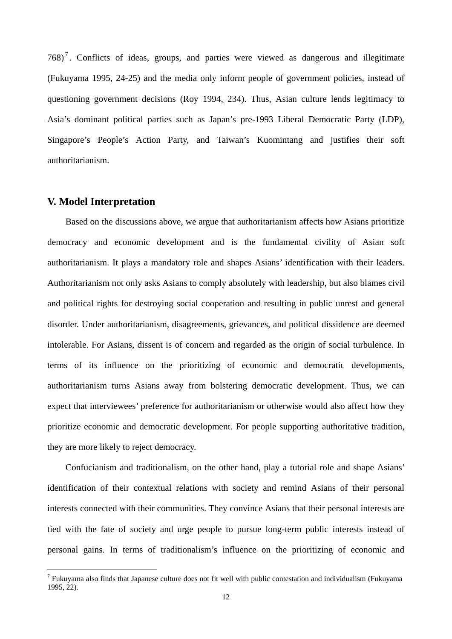<span id="page-13-0"></span>[7](#page-13-0)68)<sup>7</sup>. Conflicts of ideas, groups, and parties were viewed as dangerous and illegitimate (Fukuyama 1995, 24-25) and the media only inform people of government policies, instead of questioning government decisions (Roy 1994, 234). Thus, Asian culture lends legitimacy to Asia's dominant political parties such as Japan's pre-1993 Liberal Democratic Party (LDP), Singapore's People's Action Party, and Taiwan's Kuomintang and justifies their soft authoritarianism.

## **V. Model Interpretation**

 $\overline{a}$ 

Based on the discussions above, we argue that authoritarianism affects how Asians prioritize democracy and economic development and is the fundamental civility of Asian soft authoritarianism. It plays a mandatory role and shapes Asians' identification with their leaders. Authoritarianism not only asks Asians to comply absolutely with leadership, but also blames civil and political rights for destroying social cooperation and resulting in public unrest and general disorder. Under authoritarianism, disagreements, grievances, and political dissidence are deemed intolerable. For Asians, dissent is of concern and regarded as the origin of social turbulence. In terms of its influence on the prioritizing of economic and democratic developments, authoritarianism turns Asians away from bolstering democratic development. Thus, we can expect that interviewees' preference for authoritarianism or otherwise would also affect how they prioritize economic and democratic development. For people supporting authoritative tradition, they are more likely to reject democracy.

Confucianism and traditionalism, on the other hand, play a tutorial role and shape Asians' identification of their contextual relations with society and remind Asians of their personal interests connected with their communities. They convince Asians that their personal interests are tied with the fate of society and urge people to pursue long-term public interests instead of personal gains. In terms of traditionalism's influence on the prioritizing of economic and

<sup>&</sup>lt;sup>7</sup> Fukuyama also finds that Japanese culture does not fit well with public contestation and individualism (Fukuyama 1995, 22).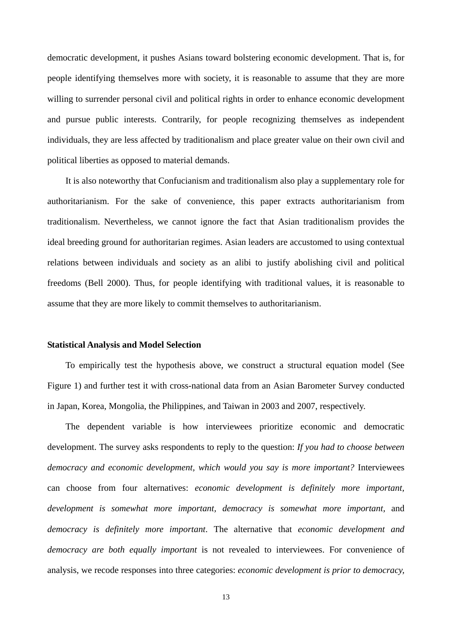democratic development, it pushes Asians toward bolstering economic development. That is, for people identifying themselves more with society, it is reasonable to assume that they are more willing to surrender personal civil and political rights in order to enhance economic development and pursue public interests. Contrarily, for people recognizing themselves as independent individuals, they are less affected by traditionalism and place greater value on their own civil and political liberties as opposed to material demands.

It is also noteworthy that Confucianism and traditionalism also play a supplementary role for authoritarianism. For the sake of convenience, this paper extracts authoritarianism from traditionalism. Nevertheless, we cannot ignore the fact that Asian traditionalism provides the ideal breeding ground for authoritarian regimes. Asian leaders are accustomed to using contextual relations between individuals and society as an alibi to justify abolishing civil and political freedoms (Bell 2000). Thus, for people identifying with traditional values, it is reasonable to assume that they are more likely to commit themselves to authoritarianism.

#### **Statistical Analysis and Model Selection**

To empirically test the hypothesis above, we construct a structural equation model (See Figure 1) and further test it with cross-national data from an Asian Barometer Survey conducted in Japan, Korea, Mongolia, the Philippines, and Taiwan in 2003 and 2007, respectively.

The dependent variable is how interviewees prioritize economic and democratic development. The survey asks respondents to reply to the question: *If you had to choose between democracy and economic development, which would you say is more important?* Interviewees can choose from four alternatives: *economic development is definitely more important, development is somewhat more important, democracy is somewhat more important,* and *democracy is definitely more important*. The alternative that *economic development and democracy are both equally important* is not revealed to interviewees. For convenience of analysis, we recode responses into three categories: *economic development is prior to democracy,*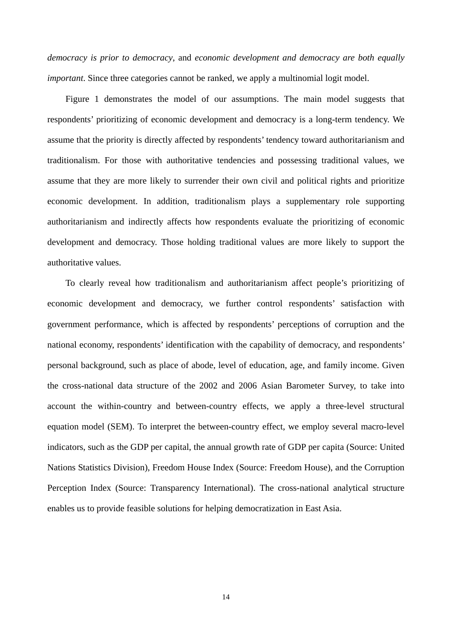*democracy is prior to democracy*, and *economic development and democracy are both equally important*. Since three categories cannot be ranked, we apply a multinomial logit model.

Figure 1 demonstrates the model of our assumptions. The main model suggests that respondents' prioritizing of economic development and democracy is a long-term tendency. We assume that the priority is directly affected by respondents' tendency toward authoritarianism and traditionalism. For those with authoritative tendencies and possessing traditional values, we assume that they are more likely to surrender their own civil and political rights and prioritize economic development. In addition, traditionalism plays a supplementary role supporting authoritarianism and indirectly affects how respondents evaluate the prioritizing of economic development and democracy. Those holding traditional values are more likely to support the authoritative values.

To clearly reveal how traditionalism and authoritarianism affect people's prioritizing of economic development and democracy, we further control respondents' satisfaction with government performance, which is affected by respondents' perceptions of corruption and the national economy, respondents' identification with the capability of democracy, and respondents' personal background, such as place of abode, level of education, age, and family income. Given the cross-national data structure of the 2002 and 2006 Asian Barometer Survey, to take into account the within-country and between-country effects, we apply a three-level structural equation model (SEM). To interpret the between-country effect, we employ several macro-level indicators, such as the GDP per capital, the annual growth rate of GDP per capita (Source: United Nations Statistics Division), Freedom House Index (Source: Freedom House), and the Corruption Perception Index (Source: Transparency International). The cross-national analytical structure enables us to provide feasible solutions for helping democratization in East Asia.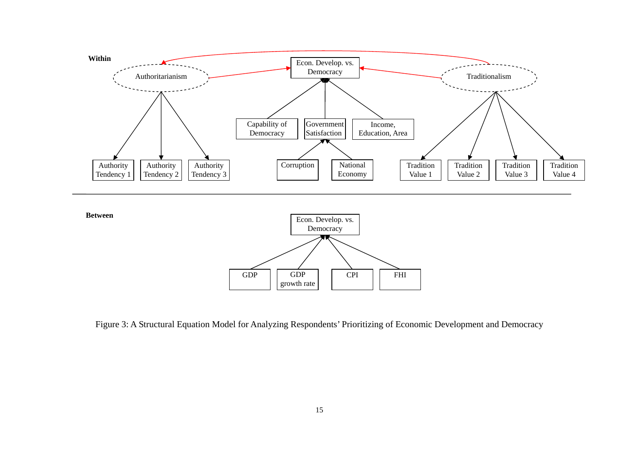



Figure 3: A Structural Equation Model for Analyzing Respondents' Prioritizing of Economic Development and Democracy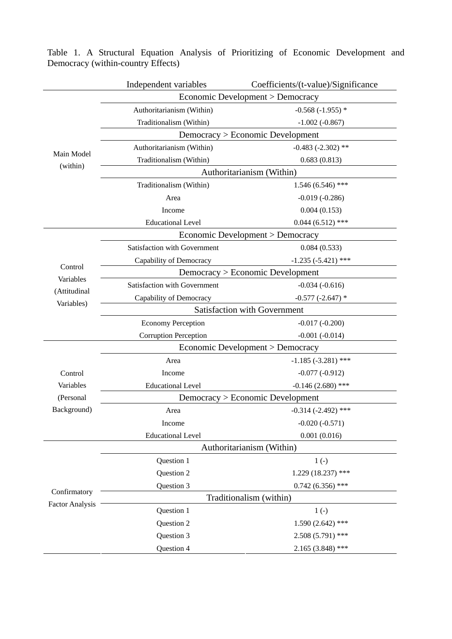|                        | Independent variables               | Coefficients/(t-value)/Significance |  |  |  |
|------------------------|-------------------------------------|-------------------------------------|--|--|--|
|                        | Economic Development > Democracy    |                                     |  |  |  |
| Main Model<br>(within) | Authoritarianism (Within)           | $-0.568(-1.955)$ *                  |  |  |  |
|                        | Traditionalism (Within)             | $-1.002(-0.867)$                    |  |  |  |
|                        | Democracy > Economic Development    |                                     |  |  |  |
|                        | Authoritarianism (Within)           | $-0.483 (-2.302)$ **                |  |  |  |
|                        | Traditionalism (Within)             | 0.683(0.813)                        |  |  |  |
|                        | Authoritarianism (Within)           |                                     |  |  |  |
|                        | Traditionalism (Within)             | $1.546(6.546)$ ***                  |  |  |  |
|                        | Area                                | $-0.019(-0.286)$                    |  |  |  |
|                        | Income                              | 0.004(0.153)                        |  |  |  |
|                        | <b>Educational Level</b>            | $0.044(6.512)$ ***                  |  |  |  |
|                        | Economic Development > Democracy    |                                     |  |  |  |
|                        | Satisfaction with Government        | 0.084(0.533)                        |  |  |  |
|                        | Capability of Democracy             | $-1.235 (-5.421)$ ***               |  |  |  |
| Control                |                                     | Democracy > Economic Development    |  |  |  |
| Variables              | Satisfaction with Government        | $-0.034(-0.616)$                    |  |  |  |
| (Attitudinal           | Capability of Democracy             | $-0.577$ $(-2.647)$ *               |  |  |  |
| Variables)             | <b>Satisfaction with Government</b> |                                     |  |  |  |
|                        | <b>Economy Perception</b>           | $-0.017(-0.200)$                    |  |  |  |
|                        | <b>Corruption Perception</b>        | $-0.001(-0.014)$                    |  |  |  |
|                        | Economic Development > Democracy    |                                     |  |  |  |
|                        | Area                                | $-1.185 (-3.281)$ ***               |  |  |  |
| Control                | Income                              | $-0.077(-0.912)$                    |  |  |  |
| Variables              | <b>Educational Level</b>            | $-0.146(2.680)$ ***                 |  |  |  |
| (Personal              | Democracy > Economic Development    |                                     |  |  |  |
| Background)            | Area                                | $-0.314$ $(-2.492)$ ***             |  |  |  |
|                        | Income                              | $-0.020(-0.571)$                    |  |  |  |
|                        | <b>Educational Level</b>            | 0.001(0.016)                        |  |  |  |
|                        | Authoritarianism (Within)           |                                     |  |  |  |
|                        | Question 1                          | $1(-)$                              |  |  |  |
|                        | Question 2                          | $1.229(18.237)$ ***                 |  |  |  |
|                        | Question 3                          | $0.742(6.356)$ ***                  |  |  |  |
| Confirmatory           | Traditionalism (within)             |                                     |  |  |  |
| <b>Factor Analysis</b> | Question 1                          | $1(-)$                              |  |  |  |
|                        | Question 2                          | 1.590(2.642)<br>***                 |  |  |  |
|                        | Question 3                          | $2.508(5.791)$ ***                  |  |  |  |
|                        | Question 4                          | $2.165(3.848)$ ***                  |  |  |  |

Table 1. A Structural Equation Analysis of Prioritizing of Economic Development and Democracy (within-country Effects)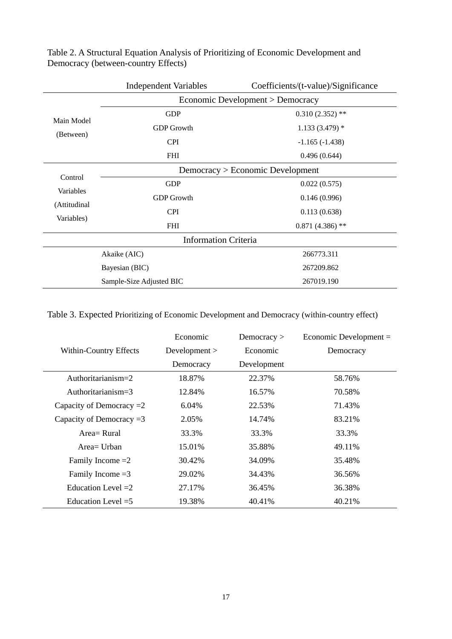|                                                    | <b>Independent Variables</b>     | Coefficients/(t-value)/Significance |  |  |  |  |
|----------------------------------------------------|----------------------------------|-------------------------------------|--|--|--|--|
|                                                    |                                  | Economic Development > Democracy    |  |  |  |  |
| Main Model<br>(Between)                            | <b>GDP</b>                       | $0.310(2.352)$ **                   |  |  |  |  |
|                                                    | <b>GDP</b> Growth                | $1.133(3.479)$ *                    |  |  |  |  |
|                                                    | <b>CPI</b>                       | $-1.165(-1.438)$                    |  |  |  |  |
|                                                    | <b>FHI</b>                       | 0.496(0.644)                        |  |  |  |  |
| Control<br>Variables<br>(Attitudinal<br>Variables) | Democracy > Economic Development |                                     |  |  |  |  |
|                                                    | <b>GDP</b>                       | 0.022(0.575)                        |  |  |  |  |
|                                                    | <b>GDP</b> Growth                | 0.146(0.996)                        |  |  |  |  |
|                                                    | <b>CPI</b>                       | 0.113(0.638)                        |  |  |  |  |
|                                                    | <b>FHI</b>                       | $0.871(4.386)$ **                   |  |  |  |  |
|                                                    | <b>Information Criteria</b>      |                                     |  |  |  |  |
| Akaike (AIC)                                       |                                  | 266773.311                          |  |  |  |  |
| Bayesian (BIC)                                     |                                  | 267209.862                          |  |  |  |  |
| Sample-Size Adjusted BIC                           |                                  | 267019.190                          |  |  |  |  |

Table 2. A Structural Equation Analysis of Prioritizing of Economic Development and Democracy (between-country Effects)

Table 3. Expected Prioritizing of Economic Development and Democracy (within-country effect)

|                            | Economic    | Democracy $>$ | Economic Development $=$ |
|----------------------------|-------------|---------------|--------------------------|
| Within-Country Effects     | Development | Economic      | Democracy                |
|                            | Democracy   | Development   |                          |
| Authoritarianism=2         | 18.87%      | 22.37%        | 58.76%                   |
| Authoritarianism= $3$      | 12.84%      | 16.57%        | 70.58%                   |
| Capacity of Democracy $=2$ | 6.04%       | 22.53%        | 71.43%                   |
| Capacity of Democracy $=3$ | 2.05%       | 14.74%        | 83.21%                   |
| Area = Rural               | 33.3%       | 33.3%         | 33.3%                    |
| $Area=U$ rban              | 15.01%      | 35.88%        | 49.11\%                  |
| Family Income $=2$         | 30.42%      | 34.09%        | 35.48%                   |
| Family Income $=3$         | 29.02%      | 34.43%        | 36.56%                   |
| Education Level $=2$       | 27.17%      | 36.45%        | 36.38%                   |
| Education Level $=5$       | 19.38%      | 40.41%        | 40.21%                   |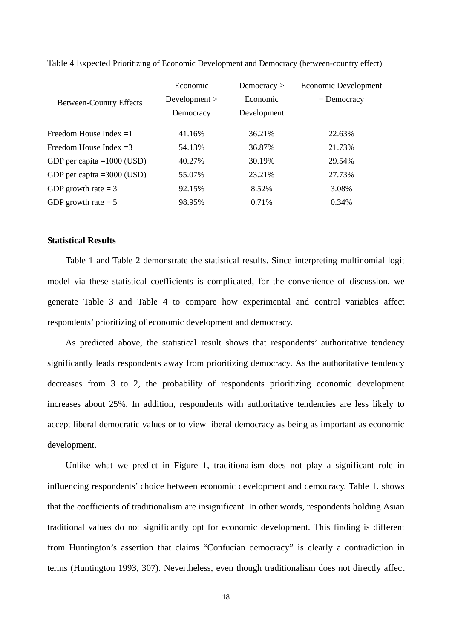|                                | Economic      | Democracy $>$ | Economic Development |
|--------------------------------|---------------|---------------|----------------------|
| <b>Between-Country Effects</b> | Development > | Economic      | $=$ Democracy        |
|                                | Democracy     | Development   |                      |
| Freedom House Index $=1$       | 41.16%        | 36.21%        | 22.63%               |
| Freedom House Index $=3$       | 54.13%        | 36.87%        | 21.73%               |
| GDP per capita = $1000$ (USD)  | 40.27%        | 30.19%        | 29.54%               |
| GDP per capita = $3000$ (USD)  | 55.07%        | 23.21%        | 27.73%               |
| GDP growth rate $=$ 3          | 92.15%        | 8.52%         | 3.08%                |
| GDP growth rate $= 5$          | 98.95%        | 0.71%         | 0.34%                |

Table 4 Expected Prioritizing of Economic Development and Democracy (between-country effect)

### **Statistical Results**

Table 1 and Table 2 demonstrate the statistical results. Since interpreting multinomial logit model via these statistical coefficients is complicated, for the convenience of discussion, we generate Table 3 and Table 4 to compare how experimental and control variables affect respondents' prioritizing of economic development and democracy.

As predicted above, the statistical result shows that respondents' authoritative tendency significantly leads respondents away from prioritizing democracy. As the authoritative tendency decreases from 3 to 2, the probability of respondents prioritizing economic development increases about 25%. In addition, respondents with authoritative tendencies are less likely to accept liberal democratic values or to view liberal democracy as being as important as economic development.

Unlike what we predict in Figure 1, traditionalism does not play a significant role in influencing respondents' choice between economic development and democracy. Table 1. shows that the coefficients of traditionalism are insignificant. In other words, respondents holding Asian traditional values do not significantly opt for economic development. This finding is different from Huntington's assertion that claims "Confucian democracy" is clearly a contradiction in terms (Huntington 1993, 307). Nevertheless, even though traditionalism does not directly affect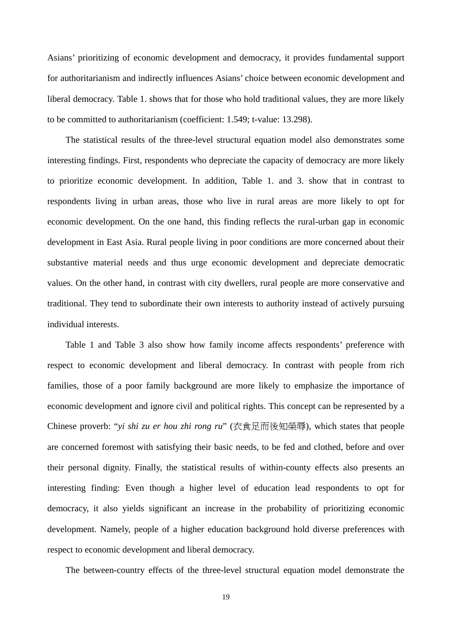Asians' prioritizing of economic development and democracy, it provides fundamental support for authoritarianism and indirectly influences Asians' choice between economic development and liberal democracy. Table 1. shows that for those who hold traditional values, they are more likely to be committed to authoritarianism (coefficient: 1.549; t-value: 13.298).

The statistical results of the three-level structural equation model also demonstrates some interesting findings. First, respondents who depreciate the capacity of democracy are more likely to prioritize economic development. In addition, Table 1. and 3. show that in contrast to respondents living in urban areas, those who live in rural areas are more likely to opt for economic development. On the one hand, this finding reflects the rural-urban gap in economic development in East Asia. Rural people living in poor conditions are more concerned about their substantive material needs and thus urge economic development and depreciate democratic values. On the other hand, in contrast with city dwellers, rural people are more conservative and traditional. They tend to subordinate their own interests to authority instead of actively pursuing individual interests.

Table 1 and Table 3 also show how family income affects respondents' preference with respect to economic development and liberal democracy. In contrast with people from rich families, those of a poor family background are more likely to emphasize the importance of economic development and ignore civil and political rights. This concept can be represented by a Chinese proverb: "*yi shi zu er hou zhi rong ru*" (衣食足而後知榮辱), which states that people are concerned foremost with satisfying their basic needs, to be fed and clothed, before and over their personal dignity. Finally, the statistical results of within-county effects also presents an interesting finding: Even though a higher level of education lead respondents to opt for democracy, it also yields significant an increase in the probability of prioritizing economic development. Namely, people of a higher education background hold diverse preferences with respect to economic development and liberal democracy.

The between-country effects of the three-level structural equation model demonstrate the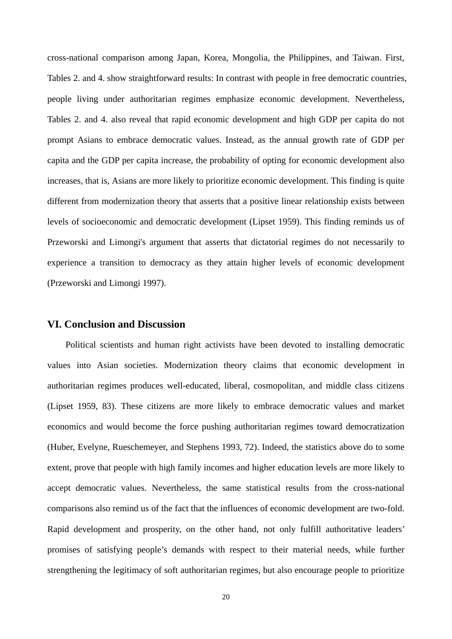cross-national comparison among Japan, Korea, Mongolia, the Philippines, and Taiwan. First, Tables 2. and 4. show straightforward results: In contrast with people in free democratic countries, people living under authoritarian regimes emphasize economic development. Nevertheless, Tables 2. and 4. also reveal that rapid economic development and high GDP per capita do not prompt Asians to embrace democratic values. Instead, as the annual growth rate of GDP per capita and the GDP per capita increase, the probability of opting for economic development also increases, that is, Asians are more likely to prioritize economic development. This finding is quite different from modernization theory that asserts that a positive linear relationship exists between levels of socioeconomic and democratic development (Lipset 1959). This finding reminds us of Przeworski and Limongi's argument that asserts that dictatorial regimes do not necessarily to experience a transition to democracy as they attain higher levels of economic development (Przeworski and Limongi 1997).

## **VI. Conclusion and Discussion**

Political scientists and human right activists have been devoted to installing democratic values into Asian societies. Modernization theory claims that economic development in authoritarian regimes produces well-educated, liberal, cosmopolitan, and middle class citizens (Lipset 1959, 83). These citizens are more likely to embrace democratic values and market economics and would become the force pushing authoritarian regimes toward democratization (Huber, Evelyne, Rueschemeyer, and Stephens 1993, 72). Indeed, the statistics above do to some extent, prove that people with high family incomes and higher education levels are more likely to accept democratic values. Nevertheless, the same statistical results from the cross-national comparisons also remind us of the fact that the influences of economic development are two-fold. Rapid development and prosperity, on the other hand, not only fulfill authoritative leaders' promises of satisfying people's demands with respect to their material needs, while further strengthening the legitimacy of soft authoritarian regimes, but also encourage people to prioritize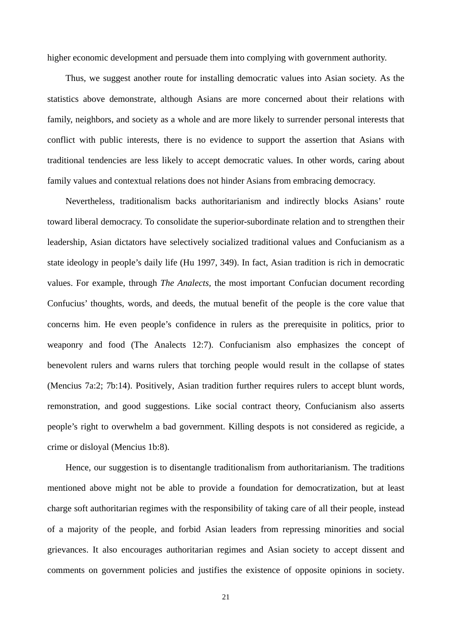higher economic development and persuade them into complying with government authority.

Thus, we suggest another route for installing democratic values into Asian society. As the statistics above demonstrate, although Asians are more concerned about their relations with family, neighbors, and society as a whole and are more likely to surrender personal interests that conflict with public interests, there is no evidence to support the assertion that Asians with traditional tendencies are less likely to accept democratic values. In other words, caring about family values and contextual relations does not hinder Asians from embracing democracy.

Nevertheless, traditionalism backs authoritarianism and indirectly blocks Asians' route toward liberal democracy. To consolidate the superior-subordinate relation and to strengthen their leadership, Asian dictators have selectively socialized traditional values and Confucianism as a state ideology in people's daily life (Hu 1997, 349). In fact, Asian tradition is rich in democratic values. For example, through *The Analects,* the most important Confucian document recording Confucius' thoughts, words, and deeds, the mutual benefit of the people is the core value that concerns him. He even people's confidence in rulers as the prerequisite in politics, prior to weaponry and food (The Analects 12:7). Confucianism also emphasizes the concept of benevolent rulers and warns rulers that torching people would result in the collapse of states (Mencius 7a:2; 7b:14). Positively, Asian tradition further requires rulers to accept blunt words, remonstration, and good suggestions. Like social contract theory, Confucianism also asserts people's right to overwhelm a bad government. Killing despots is not considered as regicide, a crime or disloyal (Mencius 1b:8).

Hence, our suggestion is to disentangle traditionalism from authoritarianism. The traditions mentioned above might not be able to provide a foundation for democratization, but at least charge soft authoritarian regimes with the responsibility of taking care of all their people, instead of a majority of the people, and forbid Asian leaders from repressing minorities and social grievances. It also encourages authoritarian regimes and Asian society to accept dissent and comments on government policies and justifies the existence of opposite opinions in society.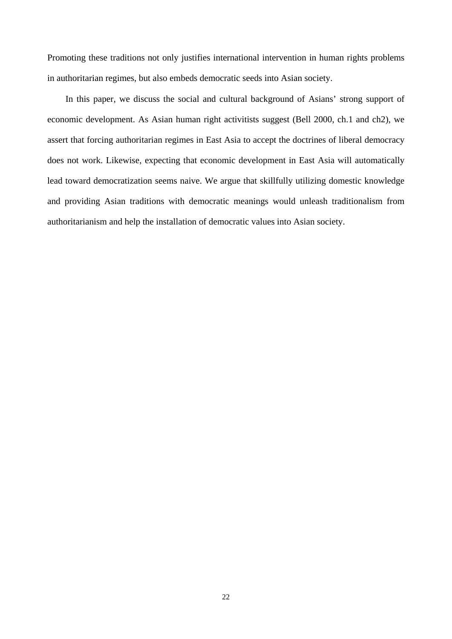Promoting these traditions not only justifies international intervention in human rights problems in authoritarian regimes, but also embeds democratic seeds into Asian society.

In this paper, we discuss the social and cultural background of Asians' strong support of economic development. As Asian human right activitists suggest (Bell 2000, ch.1 and ch2), we assert that forcing authoritarian regimes in East Asia to accept the doctrines of liberal democracy does not work. Likewise, expecting that economic development in East Asia will automatically lead toward democratization seems naive. We argue that skillfully utilizing domestic knowledge and providing Asian traditions with democratic meanings would unleash traditionalism from authoritarianism and help the installation of democratic values into Asian society.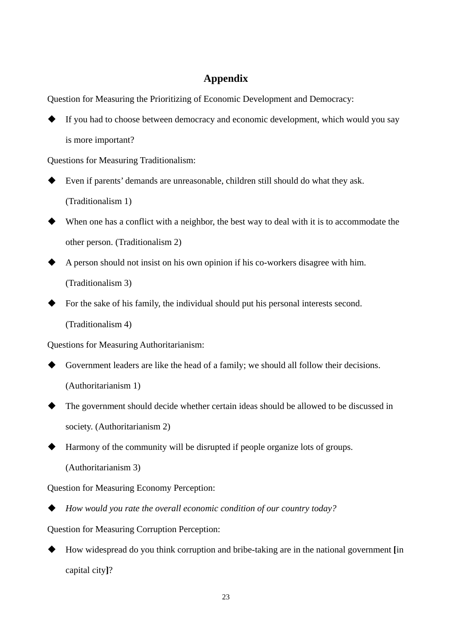## **Appendix**

Question for Measuring the Prioritizing of Economic Development and Democracy:

 If you had to choose between democracy and economic development, which would you say is more important?

Questions for Measuring Traditionalism:

- Even if parents' demands are unreasonable, children still should do what they ask. (Traditionalism 1)
- When one has a conflict with a neighbor, the best way to deal with it is to accommodate the other person. (Traditionalism 2)
- A person should not insist on his own opinion if his co-workers disagree with him. (Traditionalism 3)
- For the sake of his family, the individual should put his personal interests second. (Traditionalism 4)

Questions for Measuring Authoritarianism:

- Government leaders are like the head of a family; we should all follow their decisions. (Authoritarianism 1)
- The government should decide whether certain ideas should be allowed to be discussed in society. (Authoritarianism 2)
- Harmony of the community will be disrupted if people organize lots of groups.

(Authoritarianism 3)

Question for Measuring Economy Perception:

*How would you rate the overall economic condition of our country today?*

Question for Measuring Corruption Perception:

 How widespread do you think corruption and bribe-taking are in the national government **[**in capital city**]**?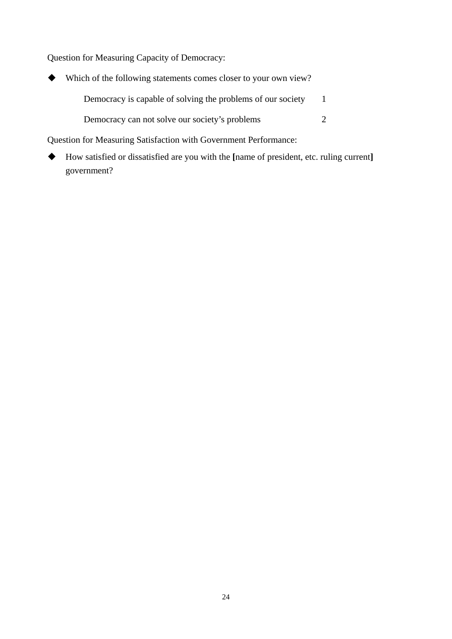Question for Measuring Capacity of Democracy:

| ◆ | Which of the following statements comes closer to your own view? |  |
|---|------------------------------------------------------------------|--|
|   | Democracy is capable of solving the problems of our society      |  |
|   | Democracy can not solve our society's problems                   |  |
|   |                                                                  |  |

Question for Measuring Satisfaction with Government Performance:

 How satisfied or dissatisfied are you with the **[**name of president, etc. ruling current**]**  government?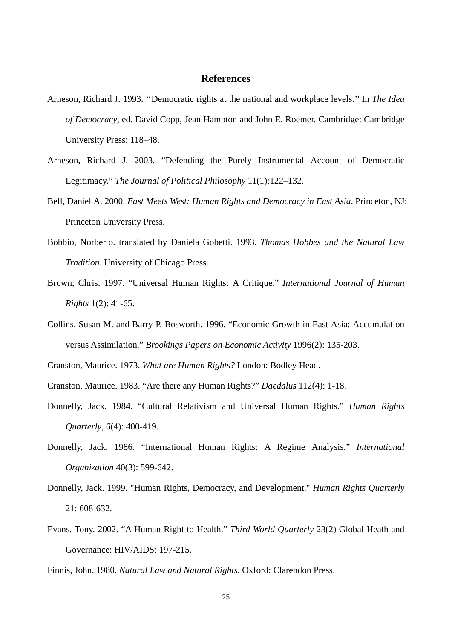## **References**

- Arneson, Richard J. 1993. ''Democratic rights at the national and workplace levels.'' In *The Idea of Democracy*, ed. David Copp, Jean Hampton and John E. Roemer. Cambridge: Cambridge University Press: 118–48.
- Arneson, Richard J. 2003. "Defending the Purely Instrumental Account of Democratic Legitimacy." *The Journal of Political Philosophy* 11(1):122–132.
- Bell, Daniel A. 2000. *East Meets West: Human Rights and Democracy in East Asia*. Princeton, NJ: Princeton University Press.
- Bobbio, Norberto. translated by Daniela Gobetti. 1993. *Thomas Hobbes and the Natural Law Tradition*. University of Chicago Press.
- Brown, Chris. 1997. "Universal Human Rights: A Critique." *International Journal of Human Rights* 1(2): 41-65.
- Collins, Susan M. and Barry P. Bosworth. 1996. "Economic Growth in East Asia: Accumulation versus Assimilation." *Brookings Papers on Economic Activity* 1996(2): 135-203.
- Cranston, Maurice. 1973. *What are Human Rights?* London: Bodley Head.
- Cranston, Maurice. 1983. "Are there any Human Rights?" *Daedalus* 112(4): 1-18.
- Donnelly, Jack. 1984. "Cultural Relativism and Universal Human Rights." *Human Rights Quarterly*, 6(4): 400-419.
- Donnelly, Jack. 1986. "International Human Rights: A Regime Analysis." *International Organization* 40(3): 599-642.
- Donnelly, Jack. 1999. "Human Rights, Democracy, and Development." *Human Rights Quarterly* 21: 608-632.
- Evans, Tony. 2002. "A Human Right to Health." *Third World Quarterly* 23(2) Global Heath and Governance: HIV/AIDS: 197-215.
- Finnis, John. 1980. *Natural Law and Natural Rights*. Oxford: Clarendon Press.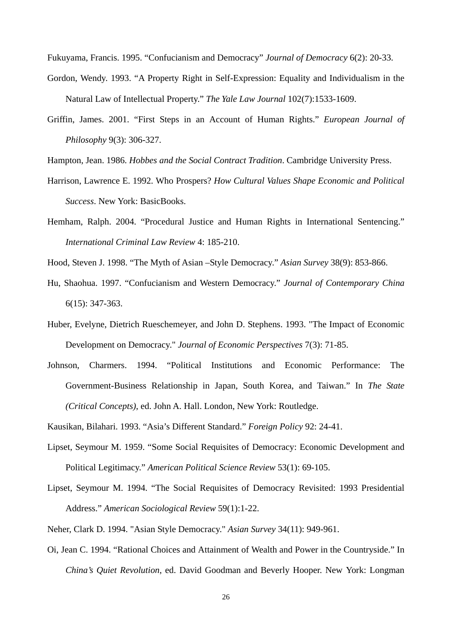Fukuyama, Francis. 1995. "Confucianism and Democracy" *Journal of Democracy* 6(2): 20-33.

- Gordon, Wendy. 1993. "A Property Right in Self-Expression: Equality and Individualism in the Natural Law of Intellectual Property." *The Yale Law Journal* 102(7):1533-1609.
- Griffin, James. 2001. "First Steps in an Account of Human Rights." *European Journal of Philosophy* 9(3): 306-327.

Hampton, Jean. 1986. *Hobbes and the Social Contract Tradition*. Cambridge University Press.

- Harrison, Lawrence E. 1992. Who Prospers? *How Cultural Values Shape Economic and Political Success*. New York: BasicBooks.
- Hemham, Ralph. 2004. "Procedural Justice and Human Rights in International Sentencing." *International Criminal Law Review* 4: 185-210.

Hood, Steven J. 1998. "The Myth of Asian –Style Democracy." *Asian Survey* 38(9): 853-866.

- Hu, Shaohua. 1997. "Confucianism and Western Democracy." *Journal of Contemporary China*  6(15): 347-363.
- Huber, Evelyne, Dietrich Rueschemeyer, and John D. Stephens. 1993. "The Impact of Economic Development on Democracy." *Journal of Economic Perspectives* 7(3): 71-85.
- Johnson, Charmers. 1994. "Political Institutions and Economic Performance: The Government-Business Relationship in Japan, South Korea, and Taiwan." In *The State (Critical Concepts)*, ed. John A. Hall. London, New York: Routledge.

Kausikan, Bilahari. 1993. "Asia's Different Standard." *Foreign Policy* 92: 24-41.

- Lipset, Seymour M. 1959. "Some Social Requisites of Democracy: Economic Development and Political Legitimacy." *American Political Science Review* 53(1): 69-105.
- Lipset, Seymour M. 1994. "The Social Requisites of Democracy Revisited: 1993 Presidential Address." *American Sociological Review* 59(1):1-22.
- Neher, Clark D. 1994. "Asian Style Democracy." *Asian Survey* 34(11): 949-961.
- Oi, Jean C. 1994. "Rational Choices and Attainment of Wealth and Power in the Countryside." In *China's Quiet Revolution*, ed. David Goodman and Beverly Hooper. New York: Longman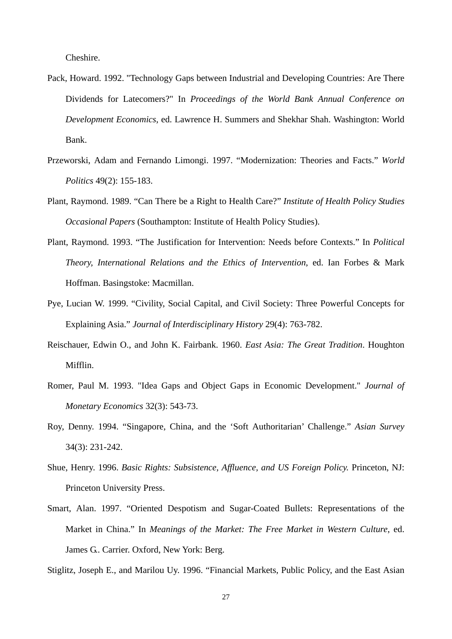Cheshire.

- Pack, Howard. 1992. "Technology Gaps between Industrial and Developing Countries: Are There Dividends for Latecomers?" In *Proceedings of the World Bank Annual Conference on Development Economics*, ed. Lawrence H. Summers and Shekhar Shah. Washington: World Bank.
- Przeworski, Adam and Fernando Limongi. 1997. "Modernization: Theories and Facts." *World Politics* 49(2): 155-183.
- Plant, Raymond. 1989. "Can There be a Right to Health Care?" *Institute of Health Policy Studies Occasional Papers* (Southampton: Institute of Health Policy Studies).
- Plant, Raymond. 1993. "The Justification for Intervention: Needs before Contexts." In *Political Theory, International Relations and the Ethics of Intervention*, ed. Ian Forbes & Mark Hoffman. Basingstoke: Macmillan.
- Pye, Lucian W. 1999. "Civility, Social Capital, and Civil Society: Three Powerful Concepts for Explaining Asia." *Journal of Interdisciplinary History* 29(4): 763-782.
- Reischauer, Edwin O., and John K. Fairbank. 1960. *East Asia: The Great Tradition*. Houghton Mifflin.
- Romer, Paul M. 1993. "Idea Gaps and Object Gaps in Economic Development." *Journal of Monetary Economics* 32(3): 543-73.
- Roy, Denny. 1994. "Singapore, China, and the 'Soft Authoritarian' Challenge." *Asian Survey* 34(3): 231-242.
- Shue, Henry. 1996. *Basic Rights: Subsistence, Affluence, and US Foreign Policy.* Princeton, NJ: Princeton University Press.
- Smart, Alan. 1997. "Oriented Despotism and Sugar-Coated Bullets: Representations of the Market in China." In *Meanings of the Market: The Free Market in Western Culture*, ed. James G.. Carrier. Oxford, New York: Berg.

Stiglitz, Joseph E., and Marilou Uy. 1996. "Financial Markets, Public Policy, and the East Asian